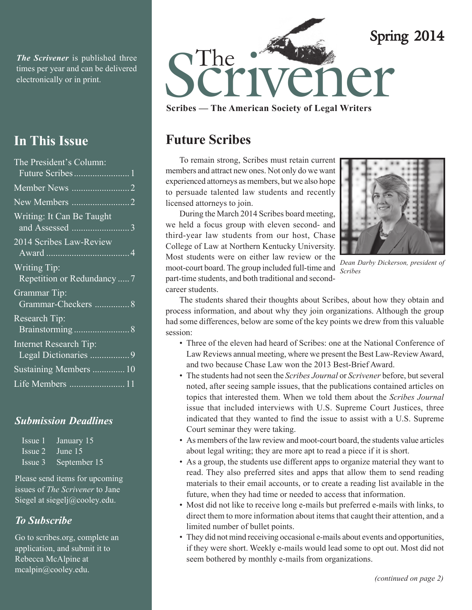*The Scrivener* is published three times per year and can be delivered

# **In This Issue**

| The President's Column:                            |
|----------------------------------------------------|
|                                                    |
| Member News 2                                      |
|                                                    |
| Writing: It Can Be Taught                          |
| 2014 Scribes Law-Review                            |
| <b>Writing Tip:</b><br>Repetition or Redundancy  7 |
| Grammar Tip:<br>Grammar-Checkers  8                |
| <b>Research Tip:</b>                               |
| <b>Internet Research Tip:</b>                      |
| Sustaining Members  10                             |
| Life Members 11                                    |

### *Submission Deadlines*

| Issue 1 | January 15   |
|---------|--------------|
| Issue 2 | June 15      |
| Issue 3 | September 15 |

Please send items for upcoming issues of *The Scrivener* to Jane Siegel at siegelj@cooley.edu.

### *To Subscribe*

Go to scribes.org, complete an application, and submit it to Rebecca McAlpine at mcalpin@cooley.edu.



**Scribes — The American Society of Legal Writers**

# **Future Scribes**

To remain strong, Scribes must retain current members and attract new ones. Not only do we want experienced attorneys as members, but we also hope to persuade talented law students and recently licensed attorneys to join.

During the March 2014 Scribes board meeting, we held a focus group with eleven second- and third-year law students from our host, Chase College of Law at Northern Kentucky University. Most students were on either law review or the moot-court board. The group included full-time and part-time students, and both traditional and secondcareer students.



*Dean Darby Dickerson, president of Scribes*

The students shared their thoughts about Scribes, about how they obtain and process information, and about why they join organizations. Although the group had some differences, below are some of the key points we drew from this valuable session:

- Three of the eleven had heard of Scribes: one at the National Conference of Law Reviews annual meeting, where we present the Best Law-Review Award, and two because Chase Law won the 2013 Best-Brief Award.
- The students had not seen the *Scribes Journal* or *Scrivener* before, but several noted, after seeing sample issues, that the publications contained articles on topics that interested them. When we told them about the *Scribes Journal* issue that included interviews with U.S. Supreme Court Justices, three indicated that they wanted to find the issue to assist with a U.S. Supreme Court seminar they were taking.
- As members of the law review and moot-court board, the students value articles about legal writing; they are more apt to read a piece if it is short.
- As a group, the students use different apps to organize material they want to read. They also preferred sites and apps that allow them to send reading materials to their email accounts, or to create a reading list available in the future, when they had time or needed to access that information.
- Most did not like to receive long e-mails but preferred e-mails with links, to direct them to more information about items that caught their attention, and a limited number of bullet points.
- They did not mind receiving occasional e-mails about events and opportunities, if they were short. Weekly e-mails would lead some to opt out. Most did not seem bothered by monthly e-mails from organizations.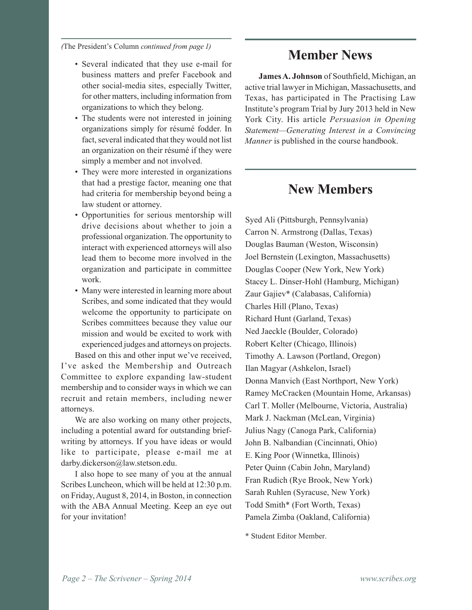*(*The President's Column *continued from page 1)*

- Several indicated that they use e-mail for business matters and prefer Facebook and other social-media sites, especially Twitter, for other matters, including information from organizations to which they belong.
- The students were not interested in joining organizations simply for résumé fodder. In fact, several indicated that they would not list an organization on their résumé if they were simply a member and not involved.
- They were more interested in organizations that had a prestige factor, meaning one that had criteria for membership beyond being a law student or attorney.
- Opportunities for serious mentorship will drive decisions about whether to join a professional organization. The opportunity to interact with experienced attorneys will also lead them to become more involved in the organization and participate in committee work.
- Many were interested in learning more about Scribes, and some indicated that they would welcome the opportunity to participate on Scribes committees because they value our mission and would be excited to work with experienced judges and attorneys on projects.

Based on this and other input we've received, I've asked the Membership and Outreach Committee to explore expanding law-student membership and to consider ways in which we can recruit and retain members, including newer attorneys.

We are also working on many other projects, including a potential award for outstanding briefwriting by attorneys. If you have ideas or would like to participate, please e-mail me at darby.dickerson@law.stetson.edu.

I also hope to see many of you at the annual Scribes Luncheon, which will be held at 12:30 p.m. on Friday, August 8, 2014, in Boston, in connection with the ABA Annual Meeting. Keep an eye out for your invitation!

# **Member News**

**James A. Johnson** of Southfield, Michigan, an active trial lawyer in Michigan, Massachusetts, and Texas, has participated in The Practising Law Institute's program Trial by Jury 2013 held in New York City. His article *Persuasion in Opening Statement—Generating Interest in a Convincing Manner* is published in the course handbook.

# **New Members**

Syed Ali (Pittsburgh, Pennsylvania) Carron N. Armstrong (Dallas, Texas) Douglas Bauman (Weston, Wisconsin) Joel Bernstein (Lexington, Massachusetts) Douglas Cooper (New York, New York) Stacey L. Dinser-Hohl (Hamburg, Michigan) Zaur Gajiev\* (Calabasas, California) Charles Hill (Plano, Texas) Richard Hunt (Garland, Texas) Ned Jaeckle (Boulder, Colorado) Robert Kelter (Chicago, Illinois) Timothy A. Lawson (Portland, Oregon) Ilan Magyar (Ashkelon, Israel) Donna Manvich (East Northport, New York) Ramey McCracken (Mountain Home, Arkansas) Carl T. Moller (Melbourne, Victoria, Australia) Mark J. Nackman (McLean, Virginia) Julius Nagy (Canoga Park, California) John B. Nalbandian (Cincinnati, Ohio) E. King Poor (Winnetka, Illinois) Peter Quinn (Cabin John, Maryland) Fran Rudich (Rye Brook, New York) Sarah Ruhlen (Syracuse, New York) Todd Smith\* (Fort Worth, Texas) Pamela Zimba (Oakland, California)

\* Student Editor Member.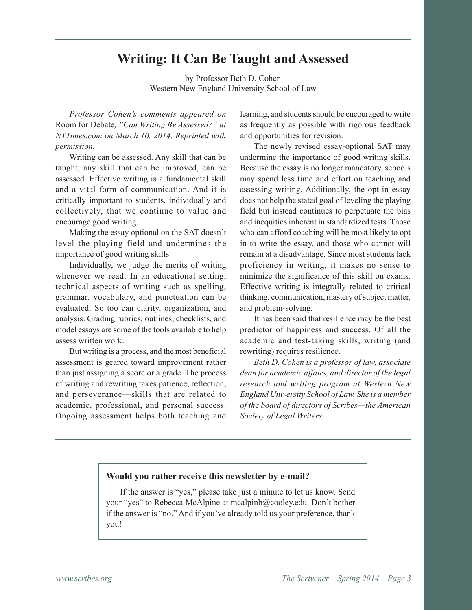## **Writing: It Can Be Taught and Assessed**

by Professor Beth D. Cohen Western New England University School of Law

*Professor Cohen's comments appeared on* Room for Debate*, "Can Writing Be Assessed?" at NYTimes.com on March 10, 2014. Reprinted with permission.*

Writing can be assessed. Any skill that can be taught, any skill that can be improved, can be assessed. Effective writing is a fundamental skill and a vital form of communication. And it is critically important to students, individually and collectively, that we continue to value and encourage good writing.

Making the essay optional on the SAT doesn't level the playing field and undermines the importance of good writing skills.

Individually, we judge the merits of writing whenever we read. In an educational setting, technical aspects of writing such as spelling, grammar, vocabulary, and punctuation can be evaluated. So too can clarity, organization, and analysis. Grading rubrics, outlines, checklists, and model essays are some of the tools available to help assess written work.

But writing is a process, and the most beneficial assessment is geared toward improvement rather than just assigning a score or a grade. The process of writing and rewriting takes patience, reflection, and perseverance—skills that are related to academic, professional, and personal success. Ongoing assessment helps both teaching and

learning, and students should be encouraged to write as frequently as possible with rigorous feedback and opportunities for revision.

The newly revised essay-optional SAT may undermine the importance of good writing skills. Because the essay is no longer mandatory, schools may spend less time and effort on teaching and assessing writing. Additionally, the opt-in essay does not help the stated goal of leveling the playing field but instead continues to perpetuate the bias and inequities inherent in standardized tests. Those who can afford coaching will be most likely to opt in to write the essay, and those who cannot will remain at a disadvantage. Since most students lack proficiency in writing, it makes no sense to minimize the significance of this skill on exams. Effective writing is integrally related to critical thinking, communication, mastery of subject matter, and problem-solving.

It has been said that resilience may be the best predictor of happiness and success. Of all the academic and test-taking skills, writing (and rewriting) requires resilience.

*Beth D. Cohen is a professor of law, associate dean for academic affairs, and director of the legal research and writing program at Western New England University School of Law. She is a member of the board of directors of Scribes—the American Society of Legal Writers.*

### **Would you rather receive this newsletter by e-mail?**

If the answer is "yes," please take just a minute to let us know. Send your "yes" to Rebecca McAlpine at mcalpinb@cooley.edu. Don't bother if the answer is "no." And if you've already told us your preference, thank you!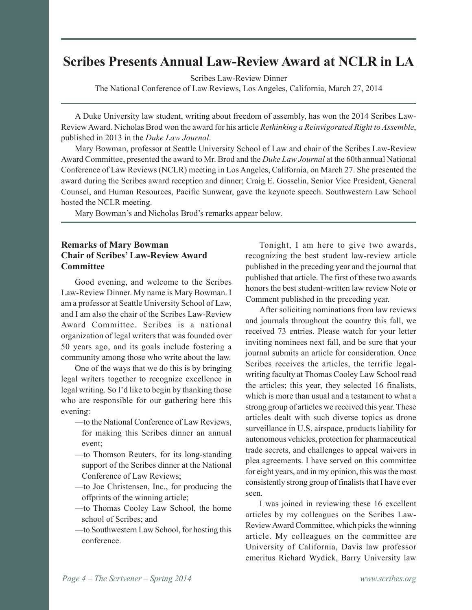# **Scribes Presents Annual Law-Review Award at NCLR in LA**

Scribes Law-Review Dinner

The National Conference of Law Reviews, Los Angeles, California, March 27, 2014

A Duke University law student, writing about freedom of assembly, has won the 2014 Scribes Law-Review Award. Nicholas Brod won the award for his article *Rethinking a Reinvigorated Right to Assemble*, published in 2013 in the *Duke Law Journal*.

Mary Bowman, professor at Seattle University School of Law and chair of the Scribes Law-Review Award Committee, presented the award to Mr. Brod and the *Duke Law Journal* at the 60thannual National Conference of Law Reviews (NCLR) meeting in Los Angeles, California, on March 27. She presented the award during the Scribes award reception and dinner; Craig E. Gosselin, Senior Vice President, General Counsel, and Human Resources, Pacific Sunwear, gave the keynote speech. Southwestern Law School hosted the NCLR meeting.

Mary Bowman's and Nicholas Brod's remarks appear below.

### **Remarks of Mary Bowman Chair of Scribes' Law-Review Award Committee**

Good evening, and welcome to the Scribes Law-Review Dinner. My name is Mary Bowman. I am a professor at Seattle University School of Law, and I am also the chair of the Scribes Law-Review Award Committee. Scribes is a national organization of legal writers that was founded over 50 years ago, and its goals include fostering a community among those who write about the law.

One of the ways that we do this is by bringing legal writers together to recognize excellence in legal writing. So I'd like to begin by thanking those who are responsible for our gathering here this evening:

- —to the National Conference of Law Reviews, for making this Scribes dinner an annual event;
- —to Thomson Reuters, for its long-standing support of the Scribes dinner at the National Conference of Law Reviews;
- —to Joe Christensen, Inc., for producing the offprints of the winning article;
- —to Thomas Cooley Law School, the home school of Scribes; and
- —to Southwestern Law School, for hosting this conference.

Tonight, I am here to give two awards, recognizing the best student law-review article published in the preceding year and the journal that published that article. The first of these two awards honors the best student-written law review Note or Comment published in the preceding year.

After soliciting nominations from law reviews and journals throughout the country this fall, we received 73 entries. Please watch for your letter inviting nominees next fall, and be sure that your journal submits an article for consideration. Once Scribes receives the articles, the terrific legalwriting faculty at Thomas Cooley Law School read the articles; this year, they selected 16 finalists, which is more than usual and a testament to what a strong group of articles we received this year. These articles dealt with such diverse topics as drone surveillance in U.S. airspace, products liability for autonomous vehicles, protection for pharmaceutical trade secrets, and challenges to appeal waivers in plea agreements. I have served on this committee for eight years, and in my opinion, this was the most consistently strong group of finalists that I have ever seen.

I was joined in reviewing these 16 excellent articles by my colleagues on the Scribes Law-Review Award Committee, which picks the winning article. My colleagues on the committee are University of California, Davis law professor emeritus Richard Wydick, Barry University law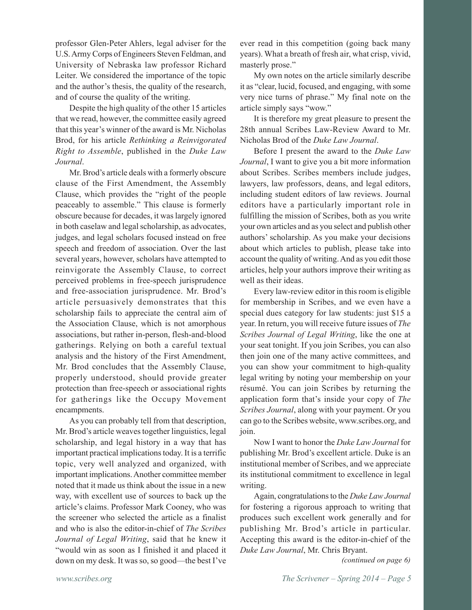professor Glen-Peter Ahlers, legal adviser for the U.S. Army Corps of Engineers Steven Feldman, and University of Nebraska law professor Richard Leiter. We considered the importance of the topic and the author's thesis, the quality of the research, and of course the quality of the writing.

Despite the high quality of the other 15 articles that we read, however, the committee easily agreed that this year's winner of the award is Mr. Nicholas Brod, for his article *Rethinking a Reinvigorated Right to Assemble*, published in the *Duke Law Journal*.

Mr. Brod's article deals with a formerly obscure clause of the First Amendment, the Assembly Clause, which provides the "right of the people peaceably to assemble." This clause is formerly obscure because for decades, it was largely ignored in both caselaw and legal scholarship, as advocates, judges, and legal scholars focused instead on free speech and freedom of association. Over the last several years, however, scholars have attempted to reinvigorate the Assembly Clause, to correct perceived problems in free-speech jurisprudence and free-association jurisprudence. Mr. Brod's article persuasively demonstrates that this scholarship fails to appreciate the central aim of the Association Clause, which is not amorphous associations, but rather in-person, flesh-and-blood gatherings. Relying on both a careful textual analysis and the history of the First Amendment, Mr. Brod concludes that the Assembly Clause, properly understood, should provide greater protection than free-speech or associational rights for gatherings like the Occupy Movement encampments.

As you can probably tell from that description, Mr. Brod's article weaves together linguistics, legal scholarship, and legal history in a way that has important practical implications today. It is a terrific topic, very well analyzed and organized, with important implications. Another committee member noted that it made us think about the issue in a new way, with excellent use of sources to back up the article's claims. Professor Mark Cooney, who was the screener who selected the article as a finalist and who is also the editor-in-chief of *The Scribes Journal of Legal Writing*, said that he knew it "would win as soon as I finished it and placed it down on my desk. It was so, so good—the best I've ever read in this competition (going back many years). What a breath of fresh air, what crisp, vivid, masterly prose."

My own notes on the article similarly describe it as "clear, lucid, focused, and engaging, with some very nice turns of phrase." My final note on the article simply says "wow."

It is therefore my great pleasure to present the 28th annual Scribes Law-Review Award to Mr. Nicholas Brod of the *Duke Law Journal*.

Before I present the award to the *Duke Law Journal*, I want to give you a bit more information about Scribes. Scribes members include judges, lawyers, law professors, deans, and legal editors, including student editors of law reviews. Journal editors have a particularly important role in fulfilling the mission of Scribes, both as you write your own articles and as you select and publish other authors' scholarship. As you make your decisions about which articles to publish, please take into account the quality of writing. And as you edit those articles, help your authors improve their writing as well as their ideas.

Every law-review editor in this room is eligible for membership in Scribes, and we even have a special dues category for law students: just \$15 a year. In return, you will receive future issues of *The Scribes Journal of Legal Writing*, like the one at your seat tonight. If you join Scribes, you can also then join one of the many active committees, and you can show your commitment to high-quality legal writing by noting your membership on your résumé. You can join Scribes by returning the application form that's inside your copy of *The Scribes Journal*, along with your payment. Or you can go to the Scribes website, www.scribes.org, and join.

Now I want to honor the *Duke Law Journal* for publishing Mr. Brod's excellent article. Duke is an institutional member of Scribes, and we appreciate its institutional commitment to excellence in legal writing.

Again, congratulations to the *Duke Law Journal* for fostering a rigorous approach to writing that produces such excellent work generally and for publishing Mr. Brod's article in particular. Accepting this award is the editor-in-chief of the *Duke Law Journal*, Mr. Chris Bryant.

*(continued on page 6)*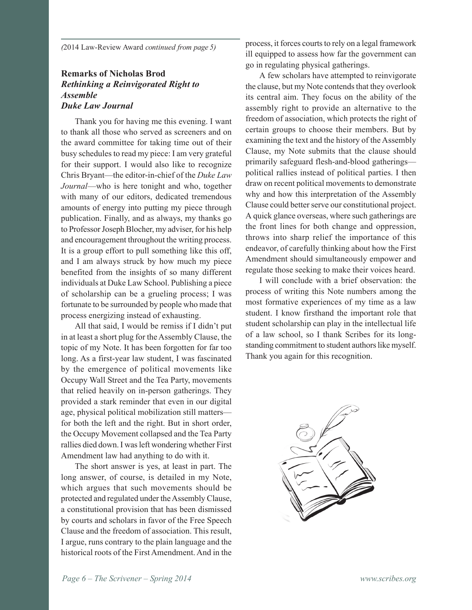*(*2014 Law-Review Award *continued from page 5)*

### **Remarks of Nicholas Brod** *Rethinking a Reinvigorated Right to Assemble Duke Law Journal*

Thank you for having me this evening. I want to thank all those who served as screeners and on the award committee for taking time out of their busy schedules to read my piece: I am very grateful for their support. I would also like to recognize Chris Bryant—the editor-in-chief of the *Duke Law Journal*—who is here tonight and who, together with many of our editors, dedicated tremendous amounts of energy into putting my piece through publication. Finally, and as always, my thanks go to Professor Joseph Blocher, my adviser, for his help and encouragement throughout the writing process. It is a group effort to pull something like this off, and I am always struck by how much my piece benefited from the insights of so many different individuals at Duke Law School. Publishing a piece of scholarship can be a grueling process; I was fortunate to be surrounded by people who made that process energizing instead of exhausting.

All that said, I would be remiss if I didn't put in at least a short plug for the Assembly Clause, the topic of my Note. It has been forgotten for far too long. As a first-year law student, I was fascinated by the emergence of political movements like Occupy Wall Street and the Tea Party, movements that relied heavily on in-person gatherings. They provided a stark reminder that even in our digital age, physical political mobilization still matters for both the left and the right. But in short order, the Occupy Movement collapsed and the Tea Party rallies died down. I was left wondering whether First Amendment law had anything to do with it.

The short answer is yes, at least in part. The long answer, of course, is detailed in my Note, which argues that such movements should be protected and regulated under the Assembly Clause, a constitutional provision that has been dismissed by courts and scholars in favor of the Free Speech Clause and the freedom of association. This result, I argue, runs contrary to the plain language and the historical roots of the First Amendment. And in the process, it forces courts to rely on a legal framework ill equipped to assess how far the government can go in regulating physical gatherings.

A few scholars have attempted to reinvigorate the clause, but my Note contends that they overlook its central aim. They focus on the ability of the assembly right to provide an alternative to the freedom of association, which protects the right of certain groups to choose their members. But by examining the text and the history of the Assembly Clause, my Note submits that the clause should primarily safeguard flesh-and-blood gatherings political rallies instead of political parties. I then draw on recent political movements to demonstrate why and how this interpretation of the Assembly Clause could better serve our constitutional project. A quick glance overseas, where such gatherings are the front lines for both change and oppression, throws into sharp relief the importance of this endeavor, of carefully thinking about how the First Amendment should simultaneously empower and regulate those seeking to make their voices heard.

I will conclude with a brief observation: the process of writing this Note numbers among the most formative experiences of my time as a law student. I know firsthand the important role that student scholarship can play in the intellectual life of a law school, so I thank Scribes for its longstanding commitment to student authors like myself. Thank you again for this recognition.

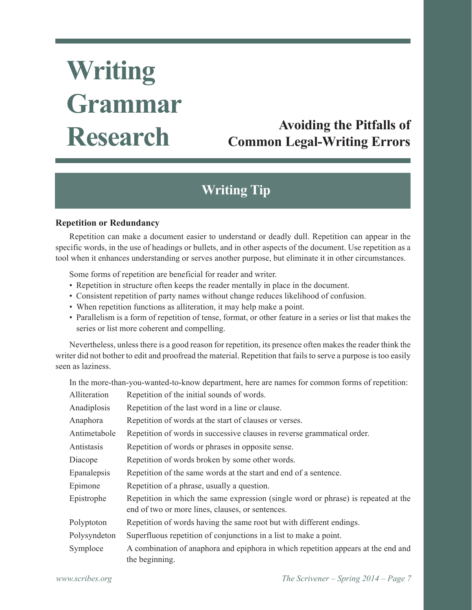# **Writing Grammar Research**

# **Avoiding the Pitfalls of Common Legal-Writing Errors**

# **Writing Tip**

### **Repetition or Redundancy**

Repetition can make a document easier to understand or deadly dull. Repetition can appear in the specific words, in the use of headings or bullets, and in other aspects of the document. Use repetition as a tool when it enhances understanding or serves another purpose, but eliminate it in other circumstances.

Some forms of repetition are beneficial for reader and writer.

- Repetition in structure often keeps the reader mentally in place in the document.
- Consistent repetition of party names without change reduces likelihood of confusion.
- When repetition functions as alliteration, it may help make a point.
- Parallelism is a form of repetition of tense, format, or other feature in a series or list that makes the series or list more coherent and compelling.

Nevertheless, unless there is a good reason for repetition, its presence often makes the reader think the writer did not bother to edit and proofread the material. Repetition that fails to serve a purpose is too easily seen as laziness.

In the more-than-you-wanted-to-know department, here are names for common forms of repetition:

| Alliteration | Repetition of the initial sounds of words.                                                                                             |
|--------------|----------------------------------------------------------------------------------------------------------------------------------------|
| Anadiplosis  | Repetition of the last word in a line or clause.                                                                                       |
| Anaphora     | Repetition of words at the start of clauses or verses.                                                                                 |
| Antimetabole | Repetition of words in successive clauses in reverse grammatical order.                                                                |
| Antistasis   | Repetition of words or phrases in opposite sense.                                                                                      |
| Diacope      | Repetition of words broken by some other words.                                                                                        |
| Epanalepsis  | Repetition of the same words at the start and end of a sentence.                                                                       |
| Epimone      | Repetition of a phrase, usually a question.                                                                                            |
| Epistrophe   | Repetition in which the same expression (single word or phrase) is repeated at the<br>end of two or more lines, clauses, or sentences. |
| Polyptoton   | Repetition of words having the same root but with different endings.                                                                   |
| Polysyndeton | Superfluous repetition of conjunctions in a list to make a point.                                                                      |
| Symploce     | A combination of anaphora and epiphora in which repetition appears at the end and<br>the beginning.                                    |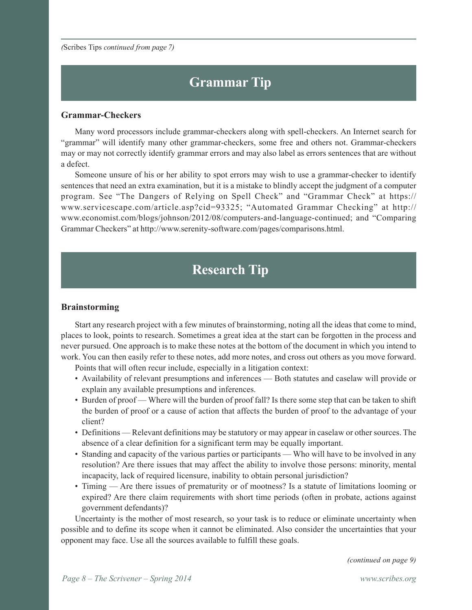*(*Scribes Tips *continued from page 7)*

# **Grammar Tip**

#### **Grammar-Checkers**

Many word processors include grammar-checkers along with spell-checkers. An Internet search for "grammar" will identify many other grammar-checkers, some free and others not. Grammar-checkers may or may not correctly identify grammar errors and may also label as errors sentences that are without a defect.

Someone unsure of his or her ability to spot errors may wish to use a grammar-checker to identify sentences that need an extra examination, but it is a mistake to blindly accept the judgment of a computer program. See "The Dangers of Relying on Spell Check" and "Grammar Check" at https:// www.servicescape.com/article.asp?cid=93325; "Automated Grammar Checking" at http:// www.economist.com/blogs/johnson/2012/08/computers-and-language-continued; and "Comparing Grammar Checkers" at http://www.serenity-software.com/pages/comparisons.html.

# **Research Tip**

#### **Brainstorming**

Start any research project with a few minutes of brainstorming, noting all the ideas that come to mind, places to look, points to research. Sometimes a great idea at the start can be forgotten in the process and never pursued. One approach is to make these notes at the bottom of the document in which you intend to work. You can then easily refer to these notes, add more notes, and cross out others as you move forward.

Points that will often recur include, especially in a litigation context:

- Availability of relevant presumptions and inferences Both statutes and caselaw will provide or explain any available presumptions and inferences.
- Burden of proof Where will the burden of proof fall? Is there some step that can be taken to shift the burden of proof or a cause of action that affects the burden of proof to the advantage of your client?
- Definitions Relevant definitions may be statutory or may appear in caselaw or other sources. The absence of a clear definition for a significant term may be equally important.
- Standing and capacity of the various parties or participants Who will have to be involved in any resolution? Are there issues that may affect the ability to involve those persons: minority, mental incapacity, lack of required licensure, inability to obtain personal jurisdiction?
- Timing Are there issues of prematurity or of mootness? Is a statute of limitations looming or expired? Are there claim requirements with short time periods (often in probate, actions against government defendants)?

Uncertainty is the mother of most research, so your task is to reduce or eliminate uncertainty when possible and to define its scope when it cannot be eliminated. Also consider the uncertainties that your opponent may face. Use all the sources available to fulfill these goals.

*(continued on page 9)*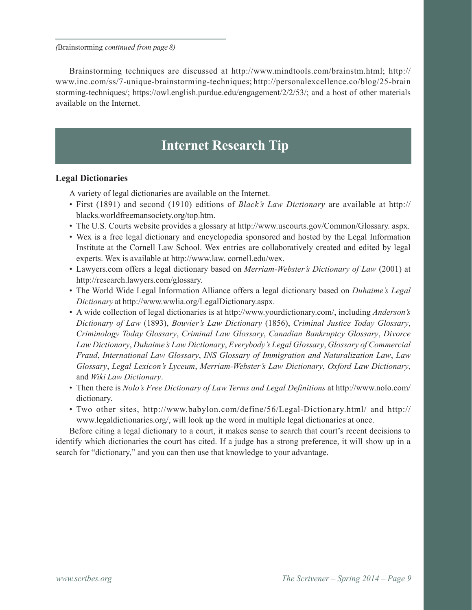*(*Brainstorming *continued from page 8)*

Brainstorming techniques are discussed at http://www.mindtools.com/brainstm.html; http:// www.inc.com/ss/7-unique-brainstorming-techniques; http://personalexcellence.co/blog/25-brain storming-techniques/; https://owl.english.purdue.edu/engagement/2/2/53/; and a host of other materials available on the Internet.

# **Internet Research Tip**

### **Legal Dictionaries**

A variety of legal dictionaries are available on the Internet.

- First (1891) and second (1910) editions of *Black's Law Dictionary* are available at http:// blacks.worldfreemansociety.org/top.htm.
- The U.S. Courts website provides a glossary at http://www.uscourts.gov/Common/Glossary. aspx.
- Wex is a free legal dictionary and encyclopedia sponsored and hosted by the Legal Information Institute at the Cornell Law School. Wex entries are collaboratively created and edited by legal experts. Wex is available at http://www.law. cornell.edu/wex.
- Lawyers.com offers a legal dictionary based on *Merriam-Webster's Dictionary of Law* (2001) at http://research.lawyers.com/glossary.
- The World Wide Legal Information Alliance offers a legal dictionary based on *Duhaime's Legal Dictionary* at http://www.wwlia.org/LegalDictionary.aspx.
- A wide collection of legal dictionaries is at http://www.yourdictionary.com/, including *Anderson's Dictionary of Law* (1893), *Bouvier's Law Dictionary* (1856), *Criminal Justice Today Glossary*, *Criminology Today Glossary*, *Criminal Law Glossary*, *Canadian Bankruptcy Glossary*, *Divorce Law Dictionary*, *Duhaime's Law Dictionary*, *Everybody's Legal Glossary*, *Glossary of Commercial Fraud*, *International Law Glossary*, *INS Glossary of Immigration and Naturalization Law*, *Law Glossary*, *Legal Lexicon's Lyceum*, *Merriam-Webster's Law Dictionary*, *Oxford Law Dictionary*, and *Wiki Law Dictionary*.
- Then there is *Nolo's Free Dictionary of Law Terms and Legal Definitions* at http://www.nolo.com/ dictionary.
- Two other sites, http://www.babylon.com/define/56/Legal-Dictionary.html/ and http:// www.legaldictionaries.org/, will look up the word in multiple legal dictionaries at once.

Before citing a legal dictionary to a court, it makes sense to search that court's recent decisions to identify which dictionaries the court has cited. If a judge has a strong preference, it will show up in a search for "dictionary," and you can then use that knowledge to your advantage.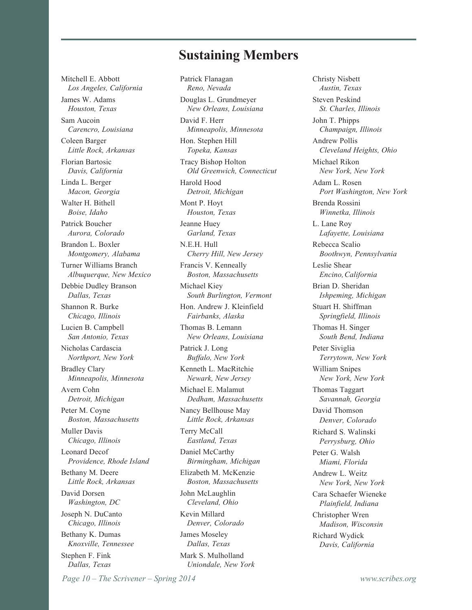### **Sustaining Members**

Mitchell E. Abbott *Los Angeles, California* James W. Adams *Houston, Texas* Sam Aucoin *Carencro, Louisiana* Coleen Barger *Little Rock, Arkansas* Florian Bartosic *Davis, California* Linda L. Berger *Macon, Georgia* Walter H. Bithell *Boise, Idaho* Patrick Boucher *Aurora, Colorado* Brandon L. Boxler *Montgomery, Alabama* Turner Williams Branch *Albuquerque, New Mexico* Debbie Dudley Branson *Dallas, Texas* Shannon R. Burke *Chicago, Illinois* Lucien B. Campbell *San Antonio, Texas* Nicholas Cardascia *Northport, New York* Bradley Clary *Minneapolis, Minnesota* Avern Cohn *Detroit, Michigan* Peter M. Coyne *Boston, Massachusetts* Muller Davis *Chicago, Illinois* Leonard Decof *Providence, Rhode Island* Bethany M. Deere *Little Rock, Arkansas* David Dorsen *Washington, DC* Joseph N. DuCanto *Chicago, Illinois* Bethany K. Dumas *Knoxville, Tennessee* Stephen F. Fink *Dallas, Texas*

Patrick Flanagan *Reno, Nevada* Douglas L. Grundmeyer *New Orleans, Louisiana* David F. Herr *Minneapolis, Minnesota* Hon. Stephen Hill *Topeka, Kansas* Tracy Bishop Holton *Old Greenwich, Connecticut* Harold Hood *Detroit, Michigan* Mont P. Hoyt *Houston, Texas* Jeanne Huey *Garland, Texas* N.E.H. Hull *Cherry Hill, New Jersey* Francis V. Kenneally *Boston, Massachusetts* Michael Kiey *South Burlington, Vermont* Hon. Andrew J. Kleinfield *Fairbanks, Alaska* Thomas B. Lemann *New Orleans, Louisiana* Patrick J. Long *Buffalo, New York* Kenneth L. MacRitchie *Newark, New Jersey* Michael E. Malamut *Dedham, Massachusetts* Nancy Bellhouse May *Little Rock, Arkansas* Terry McCall *Eastland, Texas* Daniel McCarthy *Birmingham, Michigan* Elizabeth M. McKenzie *Boston, Massachusetts* John McLaughlin *Cleveland, Ohio* Kevin Millard *Denver, Colorado* James Moseley *Dallas, Texas* Mark S. Mulholland *Uniondale, New York*

Christy Nisbett *Austin, Texas* Steven Peskind *St. Charles, Illinois* John T. Phipps *Champaign, Illinois* Andrew Pollis *Cleveland Heights, Ohio* Michael Rikon *New York, New York* Adam L. Rosen *Port Washington, New York* Brenda Rossini *Winnetka, Illinois* L. Lane Roy *Lafayette, Louisiana* Rebecca Scalio *Boothwyn, Pennsylvania* Leslie Shear *Encino, California* Brian D. Sheridan *Ishpeming, Michigan* Stuart H. Shiffman *Springfield, Illinois* Thomas H. Singer *South Bend, Indiana* Peter Siviglia *Terrytown, New York* William Snipes *New York, New York* Thomas Taggart *Savannah, Georgia* David Thomson *Denver, Colorado* Richard S. Walinski *Perrysburg, Ohio* Peter G. Walsh *Miami, Florida* Andrew L. Weitz *New York, New York* Cara Schaefer Wieneke *Plainfield, Indiana* Christopher Wren *Madison, Wisconsin* Richard Wydick *Davis, California*

*Page 10 – The Scrivener – Spring 2014 www.scribes.org*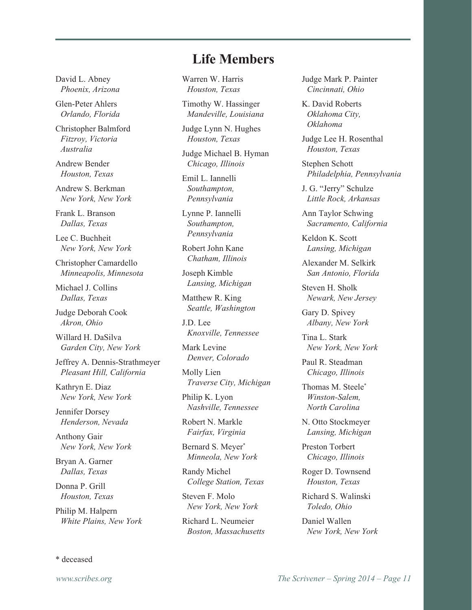David L. Abney *Phoenix, Arizona*

Glen-Peter Ahlers *Orlando, Florida*

Christopher Balmford *Fitzroy, Victoria Australia*

Andrew Bender *Houston, Texas*

Andrew S. Berkman *New York, New York*

Frank L. Branson *Dallas, Texas*

Lee C. Buchheit *New York, New York*

Christopher Camardello *Minneapolis, Minnesota*

Michael J. Collins *Dallas, Texas*

Judge Deborah Cook *Akron, Ohio*

Willard H. DaSilva *Garden City, New York*

Jeffrey A. Dennis-Strathmeyer *Pleasant Hill, California*

Kathryn E. Diaz *New York, New York*

Jennifer Dorsey *Henderson, Nevada*

Anthony Gair *New York, New York*

Bryan A. Garner *Dallas, Texas*

Donna P. Grill *Houston, Texas*

Philip M. Halpern *White Plains, New York* Warren W. Harris *Houston, Texas*

> Timothy W. Hassinger *Mandeville, Louisiana*

**Life Members**

Judge Lynn N. Hughes *Houston, Texas*

Judge Michael B. Hyman *Chicago, Illinois*

Emil L. Iannelli *Southampton, Pennsylvania*

Lynne P. Iannelli *Southampton, Pennsylvania*

Robert John Kane *Chatham, Illinois*

Joseph Kimble *Lansing, Michigan*

Matthew R. King *Seattle, Washington*

J.D. Lee *Knoxville, Tennessee*

Mark Levine *Denver, Colorado*

Molly Lien *Traverse City, Michigan*

Philip K. Lyon *Nashville, Tennessee*

Robert N. Markle *Fairfax, Virginia*

Bernard S. Meyer\* *Minneola, New York*

Randy Michel *College Station, Texas*

Steven F. Molo *New York, New York*

Richard L. Neumeier *Boston, Massachusetts* Judge Mark P. Painter *Cincinnati, Ohio*

K. David Roberts *Oklahoma City, Oklahoma*

Judge Lee H. Rosenthal *Houston, Texas*

Stephen Schott *Philadelphia, Pennsylvania*

J. G. "Jerry" Schulze *Little Rock, Arkansas*

Ann Taylor Schwing *Sacramento, California*

Keldon K. Scott *Lansing, Michigan*

Alexander M. Selkirk *San Antonio, Florida*

Steven H. Sholk *Newark, New Jersey*

Gary D. Spivey *Albany, New York*

Tina L. Stark *New York, New York*

Paul R. Steadman *Chicago, Illinois*

Thomas M. Steele\* *Winston-Salem, North Carolina*

N. Otto Stockmeyer *Lansing, Michigan*

Preston Torbert *Chicago, Illinois*

Roger D. Townsend *Houston, Texas*

Richard S. Walinski *Toledo, Ohio*

Daniel Wallen *New York, New York*